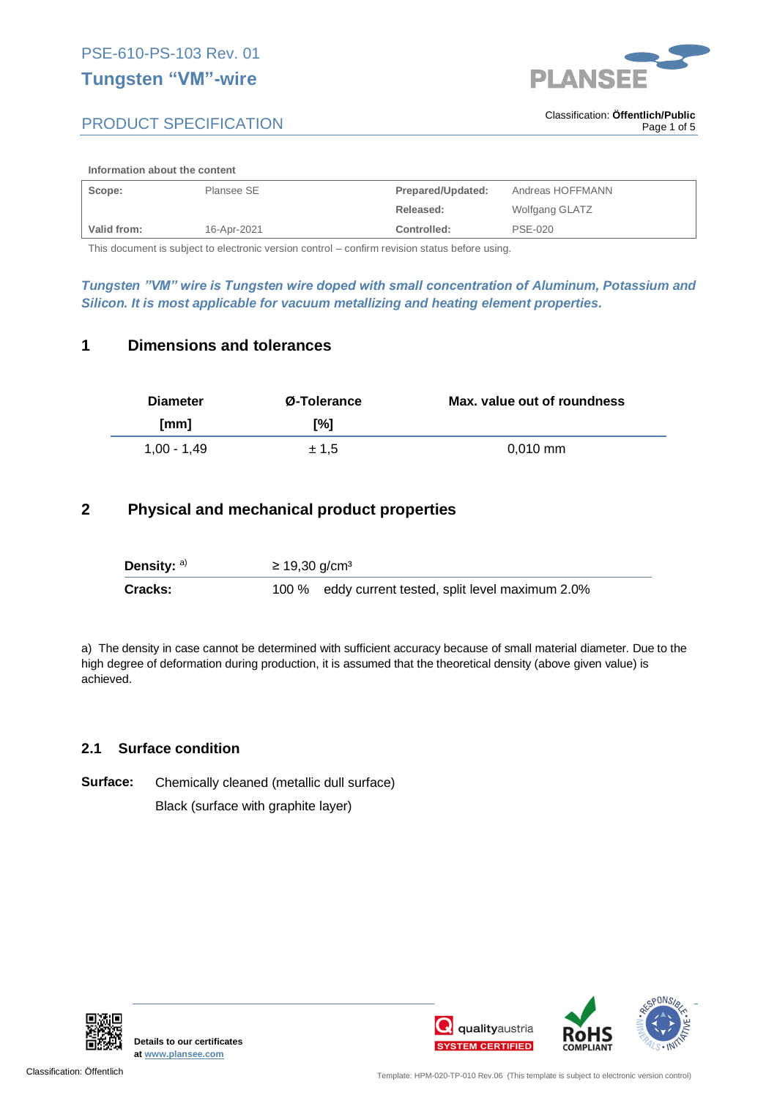# **Tungsten "VM"-wire**



# PRODUCT SPECIFICATION

#### **Information about the content**

| Scope:             | Plansee SE  | Prepared/Updated: | Andreas HOFFMANN |
|--------------------|-------------|-------------------|------------------|
|                    |             | Released:         | Wolfgang GLATZ   |
| <b>Valid from:</b> | 16-Apr-2021 | Controlled:       | <b>PSE-020</b>   |

This document is subject to electronic version control – confirm revision status before using.

*Tungsten "VM" wire is Tungsten wire doped with small concentration of Aluminum, Potassium and Silicon. It is most applicable for vacuum metallizing and heating element properties.*

## **1 Dimensions and tolerances**

| <b>Diameter</b> | Ø-Tolerance | Max. value out of roundness |
|-----------------|-------------|-----------------------------|
| [mm]            | [%]         |                             |
| 1.00 - 1.49     | ± 1.5       | $0.010$ mm                  |

# **2 Physical and mechanical product properties**

| Density: $a)$ | $≥ 19,30$ g/cm <sup>3</sup> |                                                     |
|---------------|-----------------------------|-----------------------------------------------------|
| Cracks:       |                             | 100 % eddy current tested, split level maximum 2.0% |

a) The density in case cannot be determined with sufficient accuracy because of small material diameter. Due to the high degree of deformation during production, it is assumed that the theoretical density (above given value) is achieved.

### **2.1 Surface condition**

**Surface:** Chemically cleaned (metallic dull surface) Black (surface with graphite layer)



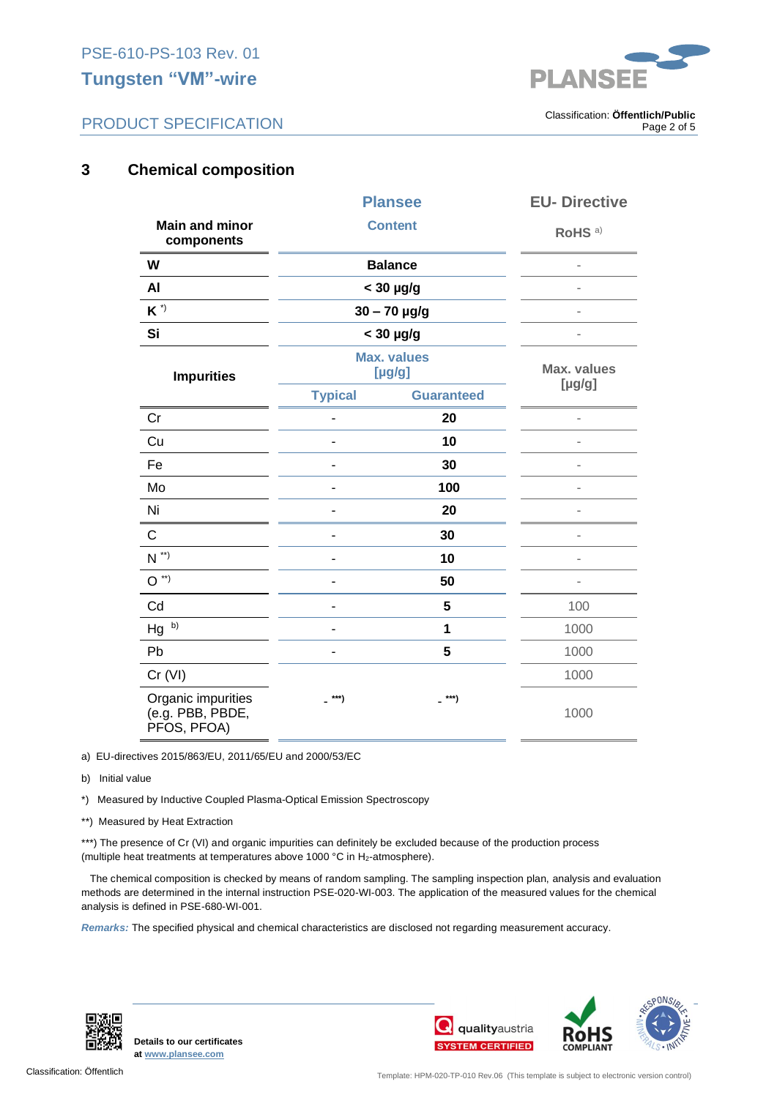# **Tungsten "VM"-wire**



# PRODUCT SPECIFICATION

. Classification: **Öffentlich/Public** Page 2 of 5

# **3 Chemical composition**

|                                                       | <b>Plansee</b>               |                   | <b>EU-Directive</b>          |
|-------------------------------------------------------|------------------------------|-------------------|------------------------------|
| <b>Main and minor</b><br>components                   | <b>Content</b>               |                   | RoHS <sup>a)</sup>           |
| W                                                     |                              | <b>Balance</b>    |                              |
| AI                                                    |                              | $<$ 30 $\mu$ g/g  |                              |
| $K^{\star}$                                           | $30 - 70$ µg/g               |                   |                              |
| Si                                                    | $<$ 30 $\mu$ g/g             |                   |                              |
| <b>Impurities</b>                                     | <b>Max. values</b><br>[µg/g] |                   | <b>Max. values</b><br>[µg/g] |
|                                                       | <b>Typical</b>               | <b>Guaranteed</b> |                              |
| Cr                                                    |                              | 20                |                              |
| Cu                                                    |                              | 10                |                              |
| Fe                                                    |                              | 30                |                              |
| Mo                                                    | ÷                            | 100               | $\overline{a}$               |
| Ni                                                    |                              | 20                |                              |
| C                                                     |                              | 30                | $\overline{a}$               |
| $N^{\ast\ast}$                                        |                              | 10                |                              |
| $O^{\ast\ast}$                                        |                              | 50                |                              |
| Cd                                                    | ÷                            | 5                 | 100                          |
| b)<br>Hg                                              | $\blacksquare$               | 1                 | 1000                         |
| Pb                                                    | $\blacksquare$               | 5                 | 1000                         |
| Cr (VI)                                               |                              |                   | 1000                         |
| Organic impurities<br>(e.g. PBB, PBDE,<br>PFOS, PFOA) | _ ***)                       | _ ***)            | 1000                         |

a) EU-directives 2015/863/EU, 2011/65/EU and 2000/53/EC

b) Initial value

\*) Measured by Inductive Coupled Plasma-Optical Emission Spectroscopy

\*\*) Measured by Heat Extraction

\*\*\*) The presence of Cr (VI) and organic impurities can definitely be excluded because of the production process (multiple heat treatments at temperatures above 1000 °C in H<sub>2</sub>-atmosphere).

 The chemical composition is checked by means of random sampling. The sampling inspection plan, analysis and evaluation methods are determined in the internal instruction PSE-020-WI-003. The application of the measured values for the chemical analysis is defined in PSE-680-WI-001.

*Remarks:* The specified physical and chemical characteristics are disclosed not regarding measurement accuracy.





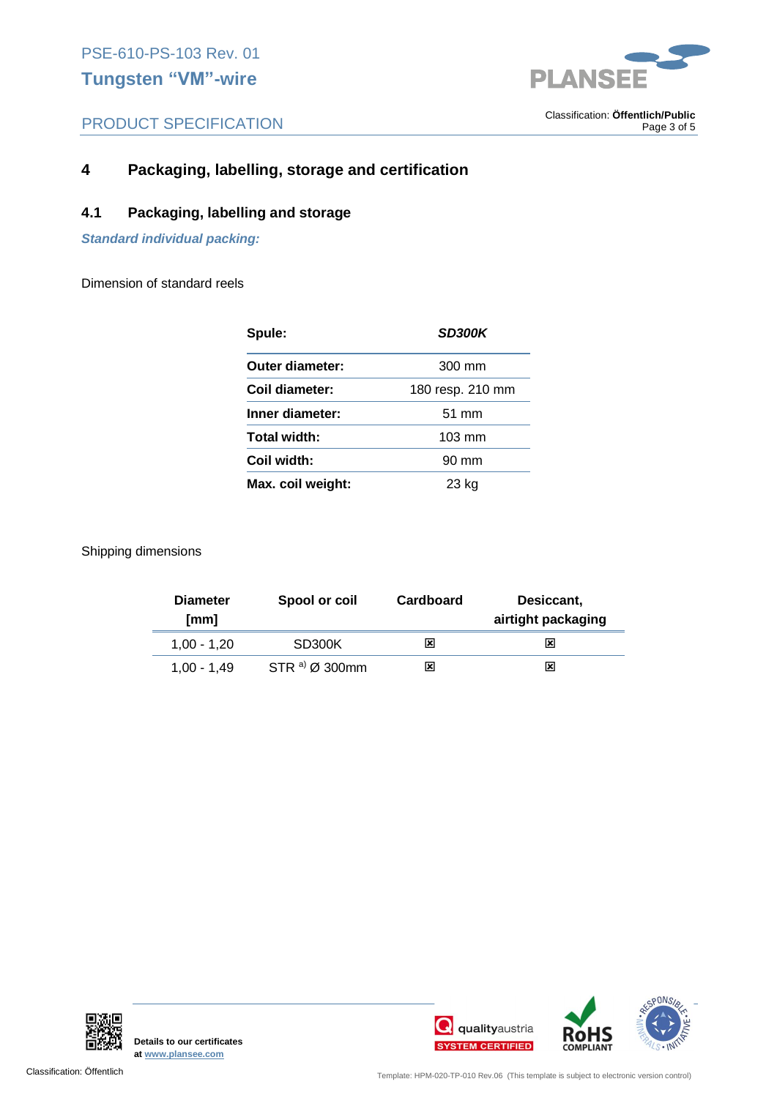

# PRODUCT SPECIFICATION

. Classification: **Öffentlich/Public** Page 3 of 5

# **4 Packaging, labelling, storage and certification**

## **4.1 Packaging, labelling and storage**

*Standard individual packing:* 

Dimension of standard reels

| Spule:            | <b>SD300K</b>    |  |
|-------------------|------------------|--|
| Outer diameter:   | 300 mm           |  |
| Coil diameter:    | 180 resp. 210 mm |  |
| Inner diameter:   | $51 \text{ mm}$  |  |
| Total width:      | $103 \text{ mm}$ |  |
| Coil width:       | $90 \text{ mm}$  |  |
| Max. coil weight: | 23 kg            |  |

Shipping dimensions

| <b>Diameter</b><br>[mm] | Spool or coil              | Cardboard | Desiccant,<br>airtight packaging |
|-------------------------|----------------------------|-----------|----------------------------------|
| $1.00 - 1.20$           | SD300K                     | x         | x                                |
| $1.00 - 1.49$           | STR a) $\varnothing$ 300mm | x         | x                                |



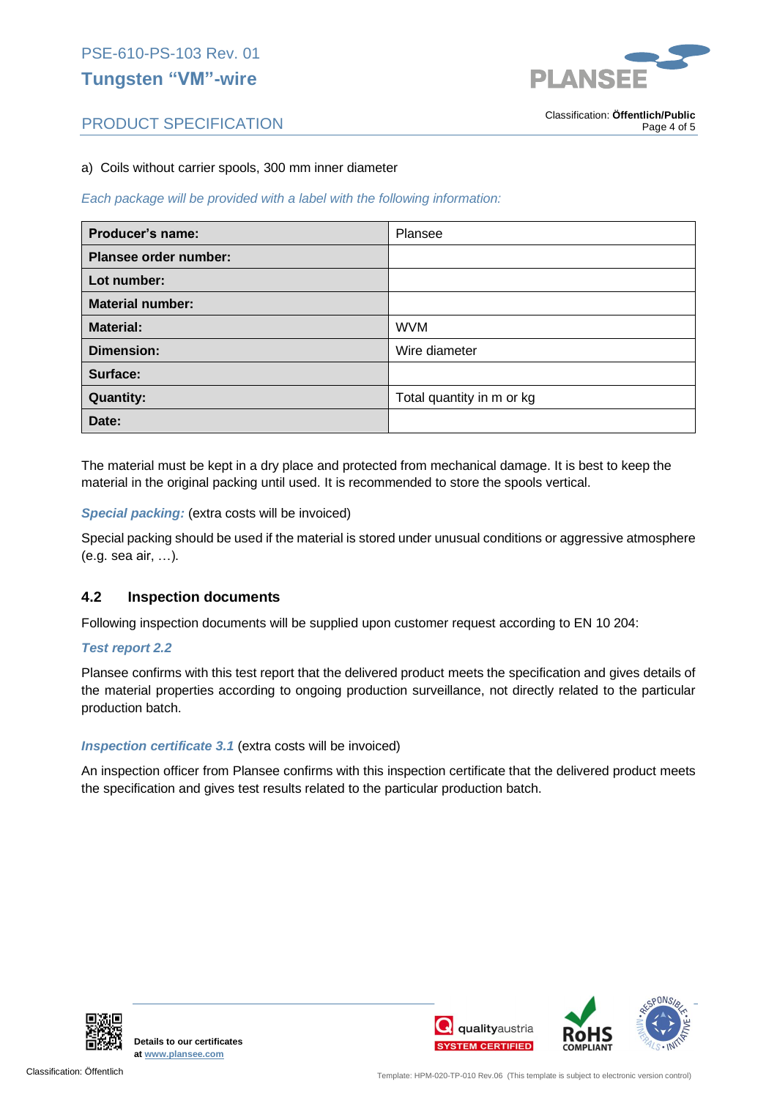# PSE-610-PS-103 Rev. 01 **Tungsten "VM"-wire**



# PRODUCT SPECIFICATION

. Classification: **Öffentlich/Public** Page 4 of 5

### a) Coils without carrier spools, 300 mm inner diameter

*Each package will be provided with a label with the following information:*

| Producer's name:             | Plansee                   |
|------------------------------|---------------------------|
| <b>Plansee order number:</b> |                           |
| Lot number:                  |                           |
| <b>Material number:</b>      |                           |
| <b>Material:</b>             | <b>WVM</b>                |
| Dimension:                   | Wire diameter             |
| Surface:                     |                           |
| <b>Quantity:</b>             | Total quantity in m or kg |
| Date:                        |                           |

The material must be kept in a dry place and protected from mechanical damage. It is best to keep the material in the original packing until used. It is recommended to store the spools vertical.

### *Special packing:* (extra costs will be invoiced)

Special packing should be used if the material is stored under unusual conditions or aggressive atmosphere (e.g. sea air, …).

### **4.2 Inspection documents**

Following inspection documents will be supplied upon customer request according to EN 10 204:

### *Test report 2.2*

Plansee confirms with this test report that the delivered product meets the specification and gives details of the material properties according to ongoing production surveillance, not directly related to the particular production batch.

### *Inspection certificate 3.1* (extra costs will be invoiced)

An inspection officer from Plansee confirms with this inspection certificate that the delivered product meets the specification and gives test results related to the particular production batch.